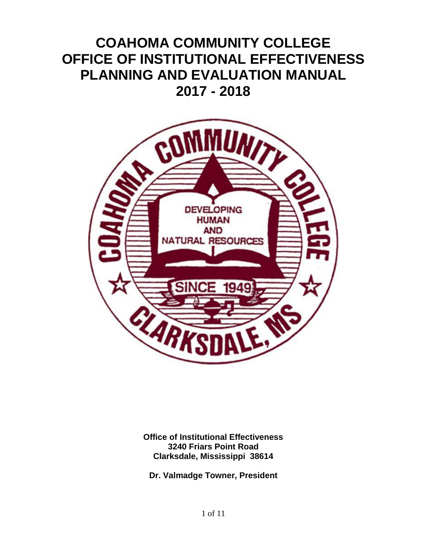# **COAHOMA COMMUNITY COLLEGE OFFICE OF INSTITUTIONAL EFFECTIVENESS PLANNING AND EVALUATION MANUAL 2017 - 2018**



**Office of Institutional Effectiveness 3240 Friars Point Road Clarksdale, Mississippi 38614**

**Dr. Valmadge Towner, President**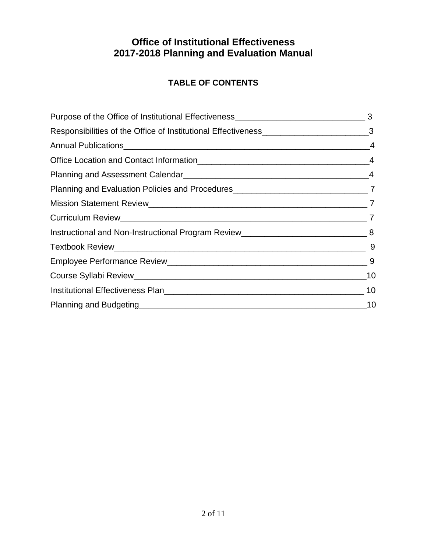# **TABLE OF CONTENTS**

| Planning and Evaluation Policies and Procedures__________________________________7 |  |
|------------------------------------------------------------------------------------|--|
|                                                                                    |  |
|                                                                                    |  |
|                                                                                    |  |
|                                                                                    |  |
|                                                                                    |  |
|                                                                                    |  |
|                                                                                    |  |
|                                                                                    |  |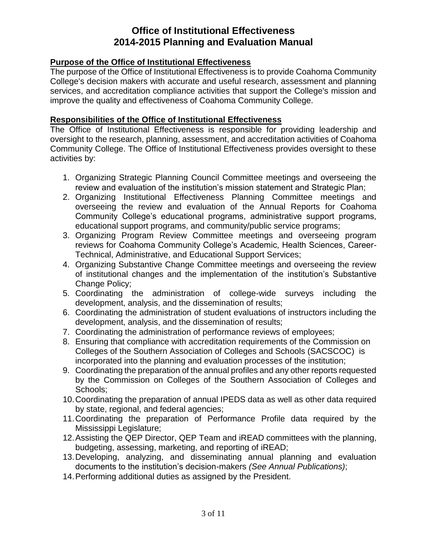### **Purpose of the Office of Institutional Effectiveness**

The purpose of the Office of Institutional Effectiveness is to provide Coahoma Community College's decision makers with accurate and useful research, assessment and planning services, and accreditation compliance activities that support the College's mission and improve the quality and effectiveness of Coahoma Community College.

### **Responsibilities of the Office of Institutional Effectiveness**

The Office of Institutional Effectiveness is responsible for providing leadership and oversight to the research, planning, assessment, and accreditation activities of Coahoma Community College. The Office of Institutional Effectiveness provides oversight to these activities by:

- 1. Organizing Strategic Planning Council Committee meetings and overseeing the review and evaluation of the institution's mission statement and Strategic Plan;
- 2. Organizing Institutional Effectiveness Planning Committee meetings and overseeing the review and evaluation of the Annual Reports for Coahoma Community College's educational programs, administrative support programs, educational support programs, and community/public service programs;
- 3. Organizing Program Review Committee meetings and overseeing program reviews for Coahoma Community College's Academic, Health Sciences, Career-Technical, Administrative, and Educational Support Services;
- 4. Organizing Substantive Change Committee meetings and overseeing the review of institutional changes and the implementation of the institution's Substantive Change Policy;
- 5. Coordinating the administration of college-wide surveys including the development, analysis, and the dissemination of results;
- 6. Coordinating the administration of student evaluations of instructors including the development, analysis, and the dissemination of results;
- 7. Coordinating the administration of performance reviews of employees;
- 8. Ensuring that compliance with accreditation requirements of the Commission on Colleges of the Southern Association of Colleges and Schools (SACSCOC) is incorporated into the planning and evaluation processes of the institution;
- 9. Coordinating the preparation of the annual profiles and any other reports requested by the Commission on Colleges of the Southern Association of Colleges and Schools;
- 10.Coordinating the preparation of annual IPEDS data as well as other data required by state, regional, and federal agencies;
- 11.Coordinating the preparation of Performance Profile data required by the Mississippi Legislature;
- 12.Assisting the QEP Director, QEP Team and iREAD committees with the planning, budgeting, assessing, marketing, and reporting of iREAD;
- 13.Developing, analyzing, and disseminating annual planning and evaluation documents to the institution's decision-makers *(See Annual Publications)*;
- 14.Performing additional duties as assigned by the President.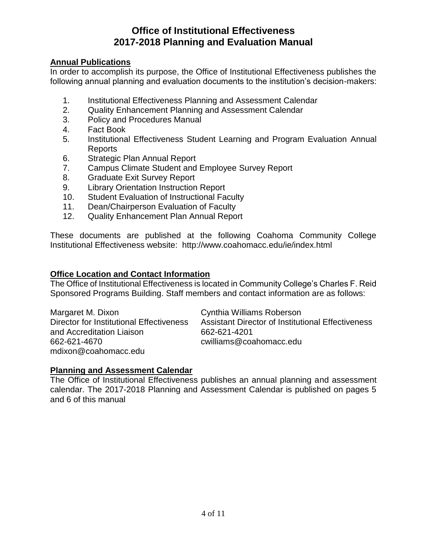### **Annual Publications**

In order to accomplish its purpose, the Office of Institutional Effectiveness publishes the following annual planning and evaluation documents to the institution's decision-makers:

- 1. Institutional Effectiveness Planning and Assessment Calendar
- 2. Quality Enhancement Planning and Assessment Calendar
- 3. Policy and Procedures Manual
- 4. Fact Book
- 5. Institutional Effectiveness Student Learning and Program Evaluation Annual Reports
- 6. Strategic Plan Annual Report
- 7. Campus Climate Student and Employee Survey Report
- 8. Graduate Exit Survey Report
- 9. Library Orientation Instruction Report
- 10. Student Evaluation of Instructional Faculty
- 11. Dean/Chairperson Evaluation of Faculty
- 12. Quality Enhancement Plan Annual Report

These documents are published at the following Coahoma Community College Institutional Effectiveness website: http://www.coahomacc.edu/ie/index.html

### **Office Location and Contact Information**

The Office of Institutional Effectiveness is located in Community College's Charles F. Reid Sponsored Programs Building. Staff members and contact information are as follows:

Margaret M. Dixon Cynthia Williams Roberson and Accreditation Liaison 662-621-4201 662-621-4670 cwilliams@coahomacc.edu mdixon@coahomacc.edu

Director for Institutional Effectiveness Assistant Director of Institutional Effectiveness

### **Planning and Assessment Calendar**

The Office of Institutional Effectiveness publishes an annual planning and assessment calendar. The 2017-2018 Planning and Assessment Calendar is published on pages 5 and 6 of this manual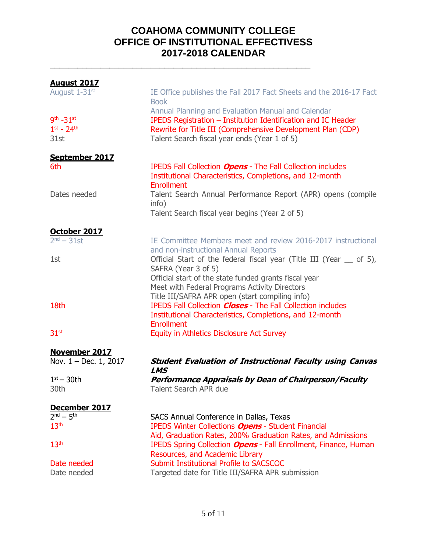# **COAHOMA COMMUNITY COLLEGE OFFICE OF INSTITUTIONAL EFFECTIVESS 2017-2018 CALENDAR**

\_\_\_\_\_\_\_\_\_\_\_\_\_\_\_\_\_\_\_\_\_\_\_\_\_\_\_\_\_\_\_\_\_\_\_\_\_\_\_\_\_\_\_\_\_\_\_\_\_\_\_\_\_\_\_\_\_

| <b>August 2017</b>      |                                                                                                                                             |
|-------------------------|---------------------------------------------------------------------------------------------------------------------------------------------|
| August 1-31st           | IE Office publishes the Fall 2017 Fact Sheets and the 2016-17 Fact<br><b>Book</b>                                                           |
|                         | Annual Planning and Evaluation Manual and Calendar                                                                                          |
| $9th - 31st$            | IPEDS Registration - Institution Identification and IC Header                                                                               |
| $1^{st} - 24^{th}$      | Rewrite for Title III (Comprehensive Development Plan (CDP)                                                                                 |
| 31st                    | Talent Search fiscal year ends (Year 1 of 5)                                                                                                |
| September 2017          |                                                                                                                                             |
| 6th                     | IPEDS Fall Collection Opens - The Fall Collection includes<br>Institutional Characteristics, Completions, and 12-month<br><b>Enrollment</b> |
| Dates needed            | Talent Search Annual Performance Report (APR) opens (compile<br>info)                                                                       |
|                         | Talent Search fiscal year begins (Year 2 of 5)                                                                                              |
| October 2017            |                                                                                                                                             |
| $2nd - 31st$            | IE Committee Members meet and review 2016-2017 instructional<br>and non-instructional Annual Reports                                        |
| 1st                     | Official Start of the federal fiscal year (Title III (Year _ of 5),                                                                         |
|                         | SAFRA (Year 3 of 5)                                                                                                                         |
|                         | Official start of the state funded grants fiscal year                                                                                       |
|                         | Meet with Federal Programs Activity Directors                                                                                               |
|                         | Title III/SAFRA APR open (start compiling info)                                                                                             |
| 18th                    | <b>IPEDS Fall Collection Closes - The Fall Collection includes</b>                                                                          |
|                         | Institutional Characteristics, Completions, and 12-month                                                                                    |
|                         | <b>Enrollment</b>                                                                                                                           |
| 31 <sup>st</sup>        | Equity in Athletics Disclosure Act Survey                                                                                                   |
| <b>November 2017</b>    |                                                                                                                                             |
| Nov. $1 - Dec. 1, 2017$ | <b>Student Evaluation of Instructional Faculty using Canvas</b><br><b>LMS</b>                                                               |
| $1st - 30th$            | <b>Performance Appraisals by Dean of Chairperson/Faculty</b>                                                                                |
| 30th                    | <b>Talent Search APR due</b>                                                                                                                |
| December 2017           |                                                                                                                                             |
| $2^{nd} - 5^{th}$       | SACS Annual Conference in Dallas, Texas                                                                                                     |
| 13 <sup>th</sup>        | <b>IPEDS Winter Collections Opens - Student Financial</b>                                                                                   |
|                         | Aid, Graduation Rates, 200% Graduation Rates, and Admissions                                                                                |
| 13 <sup>th</sup>        | IPEDS Spring Collection <b>Opens</b> - Fall Enrollment, Finance, Human                                                                      |
| Date needed             | Resources, and Academic Library<br>Submit Institutional Profile to SACSCOC                                                                  |
| Date needed             | Targeted date for Title III/SAFRA APR submission                                                                                            |
|                         |                                                                                                                                             |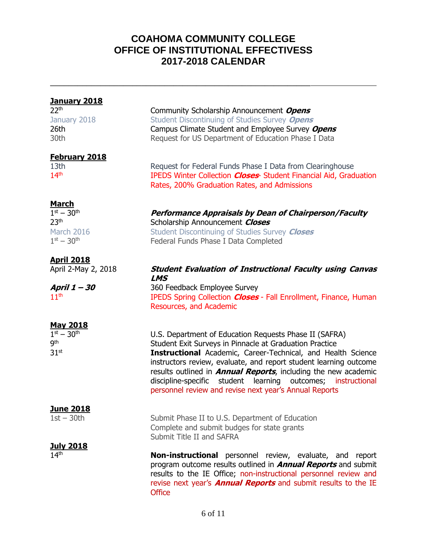# **COAHOMA COMMUNITY COLLEGE OFFICE OF INSTITUTIONAL EFFECTIVESS 2017-2018 CALENDAR**

\_\_\_\_\_\_\_\_\_\_\_\_\_\_\_\_\_\_\_\_\_\_\_\_\_\_\_\_\_\_\_\_\_\_\_\_\_\_\_\_\_\_\_\_\_\_\_\_\_\_\_\_\_\_\_\_\_

| <b>January 2018</b><br>22 <sup>th</sup><br>January 2018<br>26th<br>30th                    | Community Scholarship Announcement Opens<br>Student Discontinuing of Studies Survey Opens<br>Campus Climate Student and Employee Survey Opens<br>Request for US Department of Education Phase I Data                                                                                                                                                                                                                                                              |
|--------------------------------------------------------------------------------------------|-------------------------------------------------------------------------------------------------------------------------------------------------------------------------------------------------------------------------------------------------------------------------------------------------------------------------------------------------------------------------------------------------------------------------------------------------------------------|
| <b>February 2018</b><br>13th<br>14 <sup>th</sup>                                           | Request for Federal Funds Phase I Data from Clearinghouse<br>IPEDS Winter Collection <b>Closes</b> Student Financial Aid, Graduation<br>Rates, 200% Graduation Rates, and Admissions                                                                                                                                                                                                                                                                              |
| <b>March</b><br>$1^{st} - 30^{th}$<br>23 <sup>th</sup><br>March 2016<br>$1^{st} - 30^{th}$ | Performance Appraisals by Dean of Chairperson/Faculty<br>Scholarship Announcement Closes<br>Student Discontinuing of Studies Survey Closes<br>Federal Funds Phase I Data Completed                                                                                                                                                                                                                                                                                |
| <b>April 2018</b>                                                                          |                                                                                                                                                                                                                                                                                                                                                                                                                                                                   |
| April 2-May 2, 2018                                                                        | <b>Student Evaluation of Instructional Faculty using Canvas</b>                                                                                                                                                                                                                                                                                                                                                                                                   |
| April 1 - 30<br>11 <sup>th</sup>                                                           | <b>LMS</b><br>360 Feedback Employee Survey<br>IPEDS Spring Collection <b>Closes</b> - Fall Enrollment, Finance, Human<br>Resources, and Academic                                                                                                                                                                                                                                                                                                                  |
| <b>May 2018</b><br>$1^{st} - 30^{th}$<br><b>gth</b><br>31 <sup>st</sup>                    | U.S. Department of Education Requests Phase II (SAFRA)<br>Student Exit Surveys in Pinnacle at Graduation Practice<br><b>Instructional</b> Academic, Career-Technical, and Health Science<br>instructors review, evaluate, and report student learning outcome<br>results outlined in <b>Annual Reports</b> , including the new academic<br>discipline-specific student learning outcomes; instructional<br>personnel review and revise next year's Annual Reports |
| <b>June 2018</b><br>$1st - 30th$                                                           | Submit Phase II to U.S. Department of Education<br>Complete and submit budges for state grants<br>Submit Title II and SAFRA                                                                                                                                                                                                                                                                                                                                       |
| <u>July 2018</u><br>14 <sup>th</sup>                                                       | <b>Non-instructional</b> personnel review, evaluate, and report<br>program outcome results outlined in <b>Annual Reports</b> and submit<br>results to the IE Office, non-instructional personnel review and<br>revise next year's <b>Annual Reports</b> and submit results to the IE<br><b>Office</b>                                                                                                                                                             |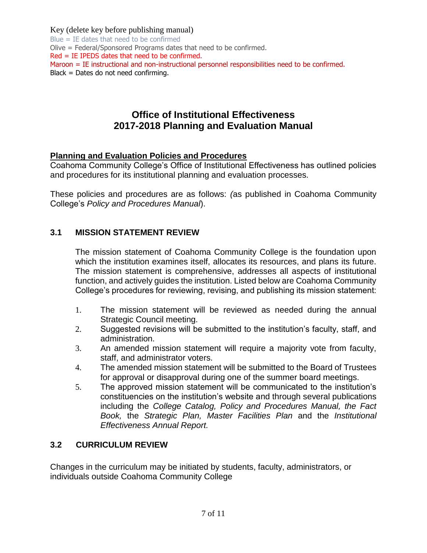Key (delete key before publishing manual)

Blue = IE dates that need to be confirmed Olive = Federal/Sponsored Programs dates that need to be confirmed. Red = IE IPEDS dates that need to be confirmed. Maroon = IE instructional and non-instructional personnel responsibilities need to be confirmed. Black = Dates do not need confirming.

# **Office of Institutional Effectiveness 2017-2018 Planning and Evaluation Manual**

### **Planning and Evaluation Policies and Procedures**

Coahoma Community College's Office of Institutional Effectiveness has outlined policies and procedures for its institutional planning and evaluation processes.

These policies and procedures are as follows: *(*as published in Coahoma Community College's *Policy and Procedures Manual*).

### **3.1 MISSION STATEMENT REVIEW**

The mission statement of Coahoma Community College is the foundation upon which the institution examines itself, allocates its resources, and plans its future. The mission statement is comprehensive, addresses all aspects of institutional function, and actively guides the institution. Listed below are Coahoma Community College's procedures for reviewing, revising, and publishing its mission statement:

- 1. The mission statement will be reviewed as needed during the annual Strategic Council meeting.
- 2. Suggested revisions will be submitted to the institution's faculty, staff, and administration.
- 3. An amended mission statement will require a majority vote from faculty, staff, and administrator voters.
- 4. The amended mission statement will be submitted to the Board of Trustees for approval or disapproval during one of the summer board meetings.
- 5. The approved mission statement will be communicated to the institution's constituencies on the institution's website and through several publications including the *College Catalog, Policy and Procedures Manual, the Fact Book,* the *Strategic Plan, Master Facilities Plan* and the *Institutional Effectiveness Annual Report.*

### **3.2 CURRICULUM REVIEW**

Changes in the curriculum may be initiated by students, faculty, administrators, or individuals outside Coahoma Community College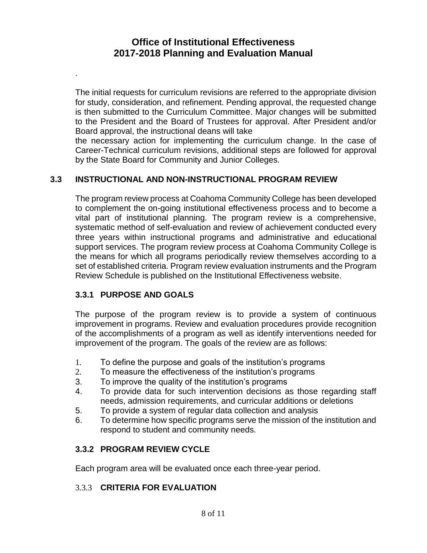The initial requests for curriculum revisions are referred to the appropriate division for study, consideration, and refinement. Pending approval, the requested change is then submitted to the Curriculum Committee. Major changes will be submitted to the President and the Board of Trustees for approval. After President and/or Board approval, the instructional deans will take

the necessary action for implementing the curriculum change. In the case of Career-Technical curriculum revisions, additional steps are followed for approval by the State Board for Community and Junior Colleges.

### **3.3 INSTRUCTIONAL AND NON-INSTRUCTIONAL PROGRAM REVIEW**

The program review process at Coahoma Community College has been developed to complement the on-going institutional effectiveness process and to become a vital part of institutional planning. The program review is a comprehensive, systematic method of self-evaluation and review of achievement conducted every three years within instructional programs and administrative and educational support services. The program review process at Coahoma Community College is the means for which all programs periodically review themselves according to a set of established criteria. Program review evaluation instruments and the Program Review Schedule is published on the Institutional Effectiveness website.

### **3.3.1 PURPOSE AND GOALS**

.

The purpose of the program review is to provide a system of continuous improvement in programs. Review and evaluation procedures provide recognition of the accomplishments of a program as well as identify interventions needed for improvement of the program. The goals of the review are as follows:

- 1. To define the purpose and goals of the institution's programs
- 2. To measure the effectiveness of the institution's programs
- 3. To improve the quality of the institution's programs
- 4. To provide data for such intervention decisions as those regarding staff needs, admission requirements, and curricular additions or deletions
- 5. To provide a system of regular data collection and analysis
- 6. To determine how specific programs serve the mission of the institution and respond to student and community needs.

### **3.3.2 PROGRAM REVIEW CYCLE**

Each program area will be evaluated once each three-year period.

### 3.3.3 **CRITERIA FOR EVALUATION**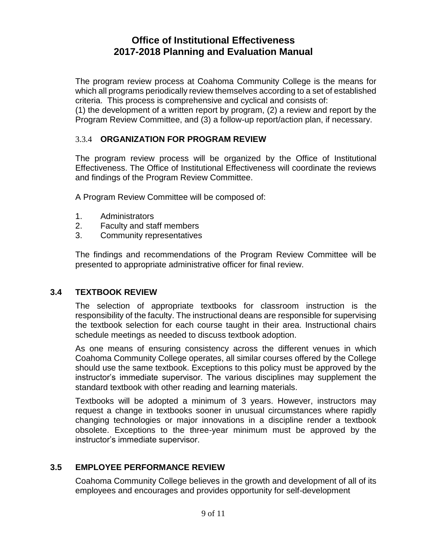The program review process at Coahoma Community College is the means for which all programs periodically review themselves according to a set of established criteria. This process is comprehensive and cyclical and consists of:

(1) the development of a written report by program, (2) a review and report by the Program Review Committee, and (3) a follow-up report/action plan, if necessary.

### 3.3.4 **ORGANIZATION FOR PROGRAM REVIEW**

The program review process will be organized by the Office of Institutional Effectiveness. The Office of Institutional Effectiveness will coordinate the reviews and findings of the Program Review Committee.

A Program Review Committee will be composed of:

- 1. Administrators
- 2. Faculty and staff members
- 3. Community representatives

The findings and recommendations of the Program Review Committee will be presented to appropriate administrative officer for final review.

### **3.4 TEXTBOOK REVIEW**

The selection of appropriate textbooks for classroom instruction is the responsibility of the faculty. The instructional deans are responsible for supervising the textbook selection for each course taught in their area. Instructional chairs schedule meetings as needed to discuss textbook adoption.

As one means of ensuring consistency across the different venues in which Coahoma Community College operates, all similar courses offered by the College should use the same textbook. Exceptions to this policy must be approved by the instructor's immediate supervisor. The various disciplines may supplement the standard textbook with other reading and learning materials.

Textbooks will be adopted a minimum of 3 years. However, instructors may request a change in textbooks sooner in unusual circumstances where rapidly changing technologies or major innovations in a discipline render a textbook obsolete. Exceptions to the three-year minimum must be approved by the instructor's immediate supervisor.

### **3.5 EMPLOYEE PERFORMANCE REVIEW**

Coahoma Community College believes in the growth and development of all of its employees and encourages and provides opportunity for self-development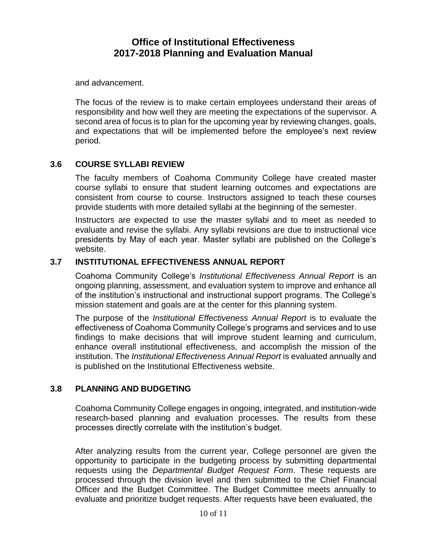and advancement.

The focus of the review is to make certain employees understand their areas of responsibility and how well they are meeting the expectations of the supervisor. A second area of focus is to plan for the upcoming year by reviewing changes, goals, and expectations that will be implemented before the employee's next review period.

### **3.6 COURSE SYLLABI REVIEW**

The faculty members of Coahoma Community College have created master course syllabi to ensure that student learning outcomes and expectations are consistent from course to course. Instructors assigned to teach these courses provide students with more detailed syllabi at the beginning of the semester.

Instructors are expected to use the master syllabi and to meet as needed to evaluate and revise the syllabi. Any syllabi revisions are due to instructional vice presidents by May of each year. Master syllabi are published on the College's website.

### **3.7 INSTITUTIONAL EFFECTIVENESS ANNUAL REPORT**

Coahoma Community College's *Institutional Effectiveness Annual Report* is an ongoing planning, assessment, and evaluation system to improve and enhance all of the institution's instructional and instructional support programs. The College's mission statement and goals are at the center for this planning system.

The purpose of the *Institutional Effectiveness Annual Report* is to evaluate the effectiveness of Coahoma Community College's programs and services and to use findings to make decisions that will improve student learning and curriculum, enhance overall institutional effectiveness, and accomplish the mission of the institution. The *Institutional Effectiveness Annual Report* is evaluated annually and is published on the Institutional Effectiveness website.

### **3.8 PLANNING AND BUDGETING**

Coahoma Community College engages in ongoing, integrated, and institution-wide research-based planning and evaluation processes. The results from these processes directly correlate with the institution's budget.

After analyzing results from the current year, College personnel are given the opportunity to participate in the budgeting process by submitting departmental requests using the *Departmental Budget Request Form*. These requests are processed through the division level and then submitted to the Chief Financial Officer and the Budget Committee. The Budget Committee meets annually to evaluate and prioritize budget requests. After requests have been evaluated, the